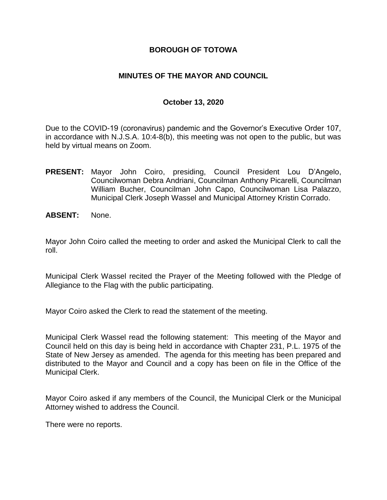### **BOROUGH OF TOTOWA**

### **MINUTES OF THE MAYOR AND COUNCIL**

### **October 13, 2020**

Due to the COVID-19 (coronavirus) pandemic and the Governor's Executive Order 107, in accordance with N.J.S.A. 10:4-8(b), this meeting was not open to the public, but was held by virtual means on Zoom.

- **PRESENT:** Mayor John Coiro, presiding, Council President Lou D'Angelo, Councilwoman Debra Andriani, Councilman Anthony Picarelli, Councilman William Bucher, Councilman John Capo, Councilwoman Lisa Palazzo, Municipal Clerk Joseph Wassel and Municipal Attorney Kristin Corrado.
- **ABSENT:** None.

Mayor John Coiro called the meeting to order and asked the Municipal Clerk to call the roll.

Municipal Clerk Wassel recited the Prayer of the Meeting followed with the Pledge of Allegiance to the Flag with the public participating.

Mayor Coiro asked the Clerk to read the statement of the meeting.

Municipal Clerk Wassel read the following statement: This meeting of the Mayor and Council held on this day is being held in accordance with Chapter 231, P.L. 1975 of the State of New Jersey as amended. The agenda for this meeting has been prepared and distributed to the Mayor and Council and a copy has been on file in the Office of the Municipal Clerk.

Mayor Coiro asked if any members of the Council, the Municipal Clerk or the Municipal Attorney wished to address the Council.

There were no reports.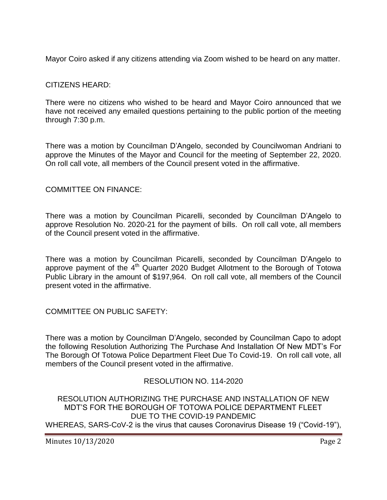Mayor Coiro asked if any citizens attending via Zoom wished to be heard on any matter.

# CITIZENS HEARD:

There were no citizens who wished to be heard and Mayor Coiro announced that we have not received any emailed questions pertaining to the public portion of the meeting through 7:30 p.m.

There was a motion by Councilman D'Angelo, seconded by Councilwoman Andriani to approve the Minutes of the Mayor and Council for the meeting of September 22, 2020. On roll call vote, all members of the Council present voted in the affirmative.

### COMMITTEE ON FINANCE:

There was a motion by Councilman Picarelli, seconded by Councilman D'Angelo to approve Resolution No. 2020-21 for the payment of bills. On roll call vote, all members of the Council present voted in the affirmative.

There was a motion by Councilman Picarelli, seconded by Councilman D'Angelo to approve payment of the  $4<sup>th</sup>$  Quarter 2020 Budget Allotment to the Borough of Totowa Public Library in the amount of \$197,964. On roll call vote, all members of the Council present voted in the affirmative.

COMMITTEE ON PUBLIC SAFETY:

There was a motion by Councilman D'Angelo, seconded by Councilman Capo to adopt the following Resolution Authorizing The Purchase And Installation Of New MDT's For The Borough Of Totowa Police Department Fleet Due To Covid-19. On roll call vote, all members of the Council present voted in the affirmative.

# RESOLUTION NO. 114-2020

RESOLUTION AUTHORIZING THE PURCHASE AND INSTALLATION OF NEW MDT'S FOR THE BOROUGH OF TOTOWA POLICE DEPARTMENT FLEET DUE TO THE COVID-19 PANDEMIC WHEREAS, SARS-CoV-2 is the virus that causes Coronavirus Disease 19 ("Covid-19"),

Minutes 10/13/2020 Page 2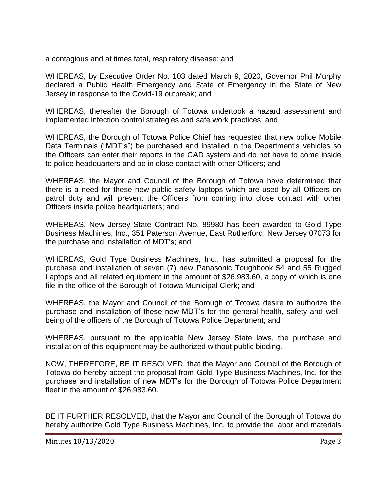a contagious and at times fatal, respiratory disease; and

WHEREAS, by Executive Order No. 103 dated March 9, 2020, Governor Phil Murphy declared a Public Health Emergency and State of Emergency in the State of New Jersey in response to the Covid-19 outbreak; and

WHEREAS, thereafter the Borough of Totowa undertook a hazard assessment and implemented infection control strategies and safe work practices; and

WHEREAS, the Borough of Totowa Police Chief has requested that new police Mobile Data Terminals ("MDT's") be purchased and installed in the Department's vehicles so the Officers can enter their reports in the CAD system and do not have to come inside to police headquarters and be in close contact with other Officers; and

WHEREAS, the Mayor and Council of the Borough of Totowa have determined that there is a need for these new public safety laptops which are used by all Officers on patrol duty and will prevent the Officers from coming into close contact with other Officers inside police headquarters; and

WHEREAS, New Jersey State Contract No. 89980 has been awarded to Gold Type Business Machines, Inc., 351 Paterson Avenue, East Rutherford, New Jersey 07073 for the purchase and installation of MDT's; and

WHEREAS, Gold Type Business Machines, Inc., has submitted a proposal for the purchase and installation of seven (7) new Panasonic Toughbook 54 and 55 Rugged Laptops and all related equipment in the amount of \$26,983.60, a copy of which is one file in the office of the Borough of Totowa Municipal Clerk; and

WHEREAS, the Mayor and Council of the Borough of Totowa desire to authorize the purchase and installation of these new MDT's for the general health, safety and wellbeing of the officers of the Borough of Totowa Police Department; and

WHEREAS, pursuant to the applicable New Jersey State laws, the purchase and installation of this equipment may be authorized without public bidding.

NOW, THEREFORE, BE IT RESOLVED, that the Mayor and Council of the Borough of Totowa do hereby accept the proposal from Gold Type Business Machines, Inc. for the purchase and installation of new MDT's for the Borough of Totowa Police Department fleet in the amount of \$26,983.60.

BE IT FURTHER RESOLVED, that the Mayor and Council of the Borough of Totowa do hereby authorize Gold Type Business Machines, Inc. to provide the labor and materials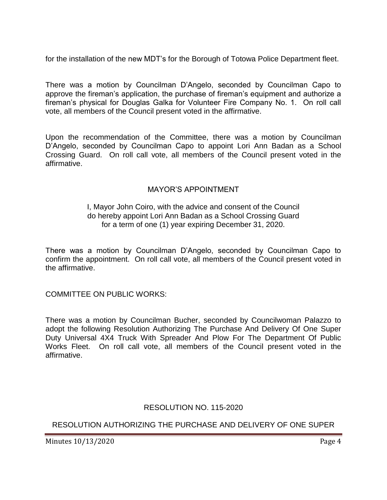for the installation of the new MDT's for the Borough of Totowa Police Department fleet.

There was a motion by Councilman D'Angelo, seconded by Councilman Capo to approve the fireman's application, the purchase of fireman's equipment and authorize a fireman's physical for Douglas Galka for Volunteer Fire Company No. 1. On roll call vote, all members of the Council present voted in the affirmative.

Upon the recommendation of the Committee, there was a motion by Councilman D'Angelo, seconded by Councilman Capo to appoint Lori Ann Badan as a School Crossing Guard. On roll call vote, all members of the Council present voted in the affirmative.

# MAYOR'S APPOINTMENT

#### I, Mayor John Coiro, with the advice and consent of the Council do hereby appoint Lori Ann Badan as a School Crossing Guard for a term of one (1) year expiring December 31, 2020.

There was a motion by Councilman D'Angelo, seconded by Councilman Capo to confirm the appointment. On roll call vote, all members of the Council present voted in the affirmative.

COMMITTEE ON PUBLIC WORKS:

There was a motion by Councilman Bucher, seconded by Councilwoman Palazzo to adopt the following Resolution Authorizing The Purchase And Delivery Of One Super Duty Universal 4X4 Truck With Spreader And Plow For The Department Of Public Works Fleet. On roll call vote, all members of the Council present voted in the affirmative.

# RESOLUTION NO. 115-2020

RESOLUTION AUTHORIZING THE PURCHASE AND DELIVERY OF ONE SUPER

Minutes 10/13/2020 Page 4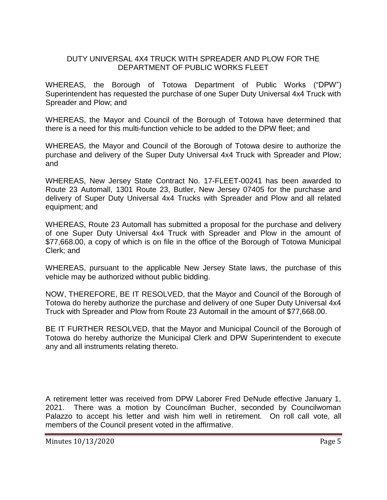### DUTY UNIVERSAL 4X4 TRUCK WITH SPREADER AND PLOW FOR THE DEPARTMENT OF PUBLIC WORKS FLEET

WHEREAS, the Borough of Totowa Department of Public Works ("DPW") Superintendent has requested the purchase of one Super Duty Universal 4x4 Truck with Spreader and Plow; and

WHEREAS, the Mayor and Council of the Borough of Totowa have determined that there is a need for this multi-function vehicle to be added to the DPW fleet; and

WHEREAS, the Mayor and Council of the Borough of Totowa desire to authorize the purchase and delivery of the Super Duty Universal 4x4 Truck with Spreader and Plow; and

WHEREAS, New Jersey State Contract No. 17-FLEET-00241 has been awarded to Route 23 Automall, 1301 Route 23, Butler, New Jersey 07405 for the purchase and delivery of Super Duty Universal 4x4 Trucks with Spreader and Plow and all related equipment; and

WHEREAS, Route 23 Automall has submitted a proposal for the purchase and delivery of one Super Duty Universal 4x4 Truck with Spreader and Plow in the amount of \$77,668.00, a copy of which is on file in the office of the Borough of Totowa Municipal Clerk; and

WHEREAS, pursuant to the applicable New Jersey State laws, the purchase of this vehicle may be authorized without public bidding.

NOW, THEREFORE, BE IT RESOLVED, that the Mayor and Council of the Borough of Totowa do hereby authorize the purchase and delivery of one Super Duty Universal 4x4 Truck with Spreader and Plow from Route 23 Automall in the amount of \$77,668.00.

BE IT FURTHER RESOLVED, that the Mayor and Municipal Council of the Borough of Totowa do hereby authorize the Municipal Clerk and DPW Superintendent to execute any and all instruments relating thereto.

A retirement letter was received from DPW Laborer Fred DeNude effective January 1, 2021. There was a motion by Councilman Bucher, seconded by Councilwoman Palazzo to accept his letter and wish him well in retirement. On roll call vote, all members of the Council present voted in the affirmative.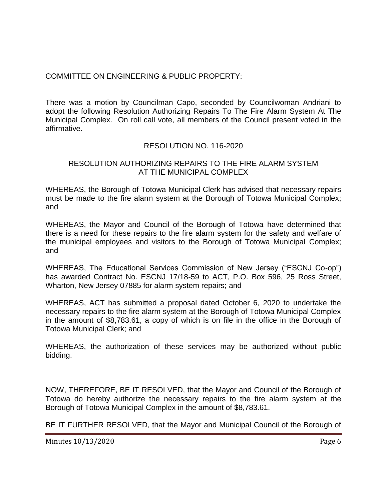# COMMITTEE ON ENGINEERING & PUBLIC PROPERTY:

There was a motion by Councilman Capo, seconded by Councilwoman Andriani to adopt the following Resolution Authorizing Repairs To The Fire Alarm System At The Municipal Complex. On roll call vote, all members of the Council present voted in the affirmative.

# RESOLUTION NO. 116-2020

### RESOLUTION AUTHORIZING REPAIRS TO THE FIRE ALARM SYSTEM AT THE MUNICIPAL COMPLEX

WHEREAS, the Borough of Totowa Municipal Clerk has advised that necessary repairs must be made to the fire alarm system at the Borough of Totowa Municipal Complex; and

WHEREAS, the Mayor and Council of the Borough of Totowa have determined that there is a need for these repairs to the fire alarm system for the safety and welfare of the municipal employees and visitors to the Borough of Totowa Municipal Complex; and

WHEREAS, The Educational Services Commission of New Jersey ("ESCNJ Co-op") has awarded Contract No. ESCNJ 17/18-59 to ACT, P.O. Box 596, 25 Ross Street, Wharton, New Jersey 07885 for alarm system repairs; and

WHEREAS, ACT has submitted a proposal dated October 6, 2020 to undertake the necessary repairs to the fire alarm system at the Borough of Totowa Municipal Complex in the amount of \$8,783.61, a copy of which is on file in the office in the Borough of Totowa Municipal Clerk; and

WHEREAS, the authorization of these services may be authorized without public bidding.

NOW, THEREFORE, BE IT RESOLVED, that the Mayor and Council of the Borough of Totowa do hereby authorize the necessary repairs to the fire alarm system at the Borough of Totowa Municipal Complex in the amount of \$8,783.61.

BE IT FURTHER RESOLVED, that the Mayor and Municipal Council of the Borough of

Minutes 10/13/2020 Page 6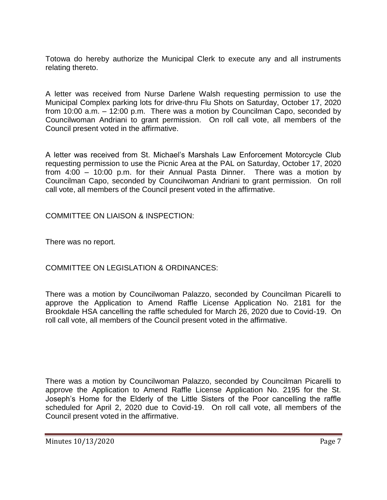Totowa do hereby authorize the Municipal Clerk to execute any and all instruments relating thereto.

A letter was received from Nurse Darlene Walsh requesting permission to use the Municipal Complex parking lots for drive-thru Flu Shots on Saturday, October 17, 2020 from 10:00 a.m. – 12:00 p.m. There was a motion by Councilman Capo, seconded by Councilwoman Andriani to grant permission. On roll call vote, all members of the Council present voted in the affirmative.

A letter was received from St. Michael's Marshals Law Enforcement Motorcycle Club requesting permission to use the Picnic Area at the PAL on Saturday, October 17, 2020 from 4:00 – 10:00 p.m. for their Annual Pasta Dinner. There was a motion by Councilman Capo, seconded by Councilwoman Andriani to grant permission. On roll call vote, all members of the Council present voted in the affirmative.

COMMITTEE ON LIAISON & INSPECTION:

There was no report.

COMMITTEE ON LEGISLATION & ORDINANCES:

There was a motion by Councilwoman Palazzo, seconded by Councilman Picarelli to approve the Application to Amend Raffle License Application No. 2181 for the Brookdale HSA cancelling the raffle scheduled for March 26, 2020 due to Covid-19. On roll call vote, all members of the Council present voted in the affirmative.

There was a motion by Councilwoman Palazzo, seconded by Councilman Picarelli to approve the Application to Amend Raffle License Application No. 2195 for the St. Joseph's Home for the Elderly of the Little Sisters of the Poor cancelling the raffle scheduled for April 2, 2020 due to Covid-19. On roll call vote, all members of the Council present voted in the affirmative.